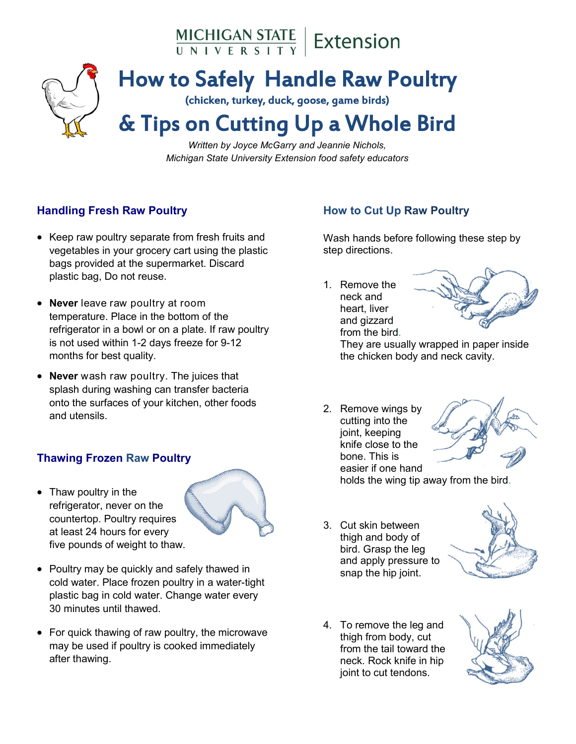MICHIGAN STATE | Extension



# How to Safely Handle Raw Poultry

(chicken, turkey, duck, goose, game birds)

# & Tips on Cutting Up a Whole Bird

*Written by Joyce McGarry and Jeannie Nichols, Michigan State University Extension food safety educators*

### **Handling Fresh Raw Poultry**

- Keep raw poultry separate from fresh fruits and vegetables in your grocery cart using the plastic bags provided at the supermarket. Discard plastic bag, Do not reuse.
- **Never** leave raw poultry at room temperature. Place in the bottom of the refrigerator in a bowl or on a plate. If raw poultry is not used within 1-2 days freeze for 9-12 months for best quality.
- **Never** wash raw poultry. The juices that splash during washing can transfer bacteria onto the surfaces of your kitchen, other foods and utensils.

#### **Thawing Frozen Raw Poultry**

• Thaw poultry in the refrigerator, never on the countertop. Poultry requires at least 24 hours for every five pounds of weight to thaw.



- Poultry may be quickly and safely thawed in cold water. Place frozen poultry in a water-tight plastic bag in cold water. Change water every 30 minutes until thawed.
- For quick thawing of raw poultry, the microwave may be used if poultry is cooked immediately after thawing.

# **How to Cut Up Raw Poultry**

Wash hands before following these step by step directions.

1. Remove the neck and heart, liver and gizzard from the bird.



They are usually wrapped in paper inside the chicken body and neck cavity.

2. Remove wings by cutting into the joint, keeping knife close to the bone. This is easier if one hand



holds the wing tip away from the bird.

3. Cut skin between thigh and body of bird. Grasp the leg and apply pressure to snap the hip joint.



4. To remove the leg and thigh from body, cut from the tail toward the neck. Rock knife in hip joint to cut tendons.